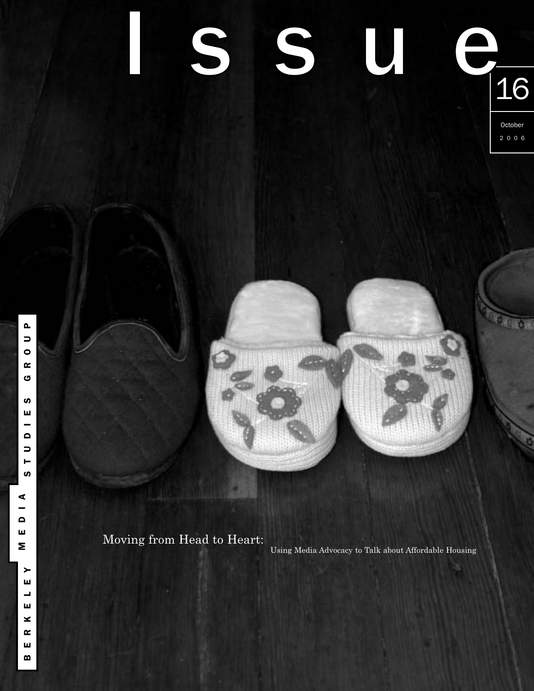# S SU 16

October 2006

Moving from Head to Heart: **<sup>M</sup>**

Using Media Advocacy to Talk about Affordable Housing

**P**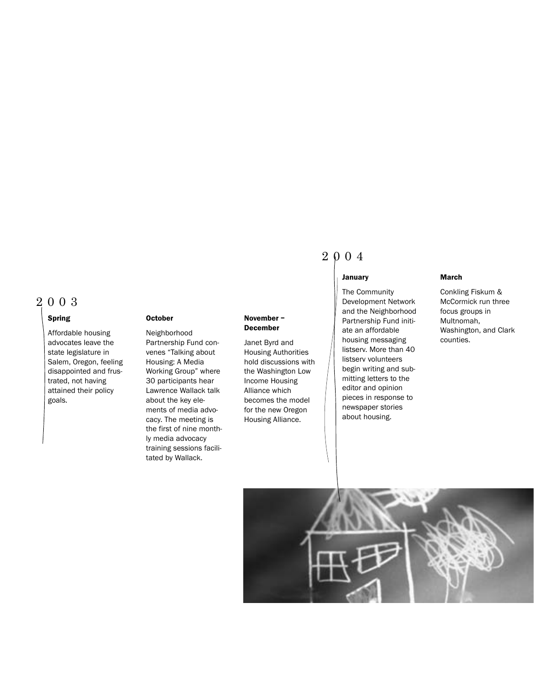# 2003

#### **Spring**

Affordable housing advocates leave the state legislature in Salem, Oregon, feeling disappointed and frustrated, not having attained their policy goals.

#### **October**

Neighborhood Partnership Fund convenes "Talking about Housing: A Media Working Group" where 30 participants hear Lawrence Wallack talk about the key elements of media advocacy. The meeting is the first of nine monthly media advocacy training sessions facilitated by Wallack.

#### **November – December**

Janet Byrd and Housing Authorities hold discussions with the Washington Low Income Housing Alliance which becomes the model for the new Oregon Housing Alliance.

# 2004

#### **January**

The Community Development Network and the Neighborhood Partnership Fund initiate an affordable housing messaging listserv. More than 40 listserv volunteers begin writing and submitting letters to the editor and opinion pieces in response to newspaper stories about housing.

#### **March**

Conkling Fiskum & McCormick run three focus groups in Multnomah, Washington, and Clark counties.

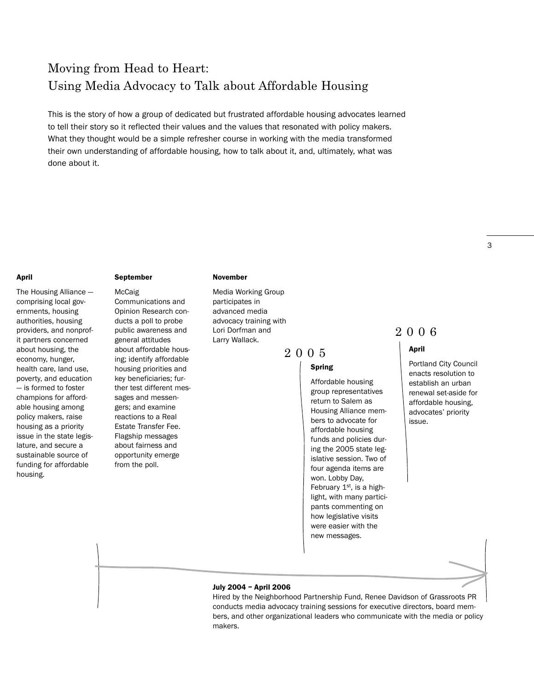# Moving from Head to Heart: Using Media Advocacy to Talk about Affordable Housing

This is the story of how a group of dedicated but frustrated affordable housing advocates learned to tell their story so it reflected their values and the values that resonated with policy makers. What they thought would be a simple refresher course in working with the media transformed their own understanding of affordable housing, how to talk about it, and, ultimately, what was done about it.

#### **April**

The Housing Alliance comprising local governments, housing authorities, housing providers, and nonprofit partners concerned about housing, the economy, hunger, health care, land use, poverty, and education — is formed to foster champions for affordable housing among policy makers, raise housing as a priority issue in the state legislature, and secure a sustainable source of funding for affordable housing.

#### **September**

McCaig Communications and Opinion Research conducts a poll to probe public awareness and general attitudes about affordable housing; identify affordable housing priorities and key beneficiaries; further test different messages and messengers; and examine reactions to a Real Estate Transfer Fee. Flagship messages about fairness and opportunity emerge from the poll.

#### **November**

Media Working Group participates in advanced media advocacy training with Lori Dorfman and Larry Wallack.

2005

#### **Spring**

Affordable housing group representatives return to Salem as Housing Alliance members to advocate for affordable housing funds and policies during the 2005 state legislative session. Two of four agenda items are won. Lobby Day, February  $1<sup>st</sup>$ , is a highlight, with many participants commenting on how legislative visits were easier with the new messages.

# 2006

#### **April**

Portland City Council enacts resolution to establish an urban renewal set-aside for affordable housing, advocates' priority issue.

#### **July 2004 – April 2006**

Hired by the Neighborhood Partnership Fund, Renee Davidson of Grassroots PR conducts media advocacy training sessions for executive directors, board members, and other organizational leaders who communicate with the media or policy makers.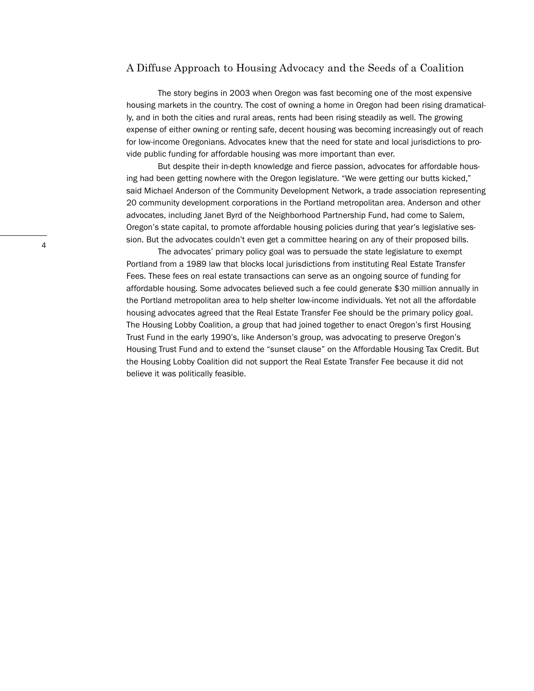#### A Diffuse Approach to Housing Advocacy and the Seeds of a Coalition

The story begins in 2003 when Oregon was fast becoming one of the most expensive housing markets in the country. The cost of owning a home in Oregon had been rising dramatically, and in both the cities and rural areas, rents had been rising steadily as well. The growing expense of either owning or renting safe, decent housing was becoming increasingly out of reach for low-income Oregonians. Advocates knew that the need for state and local jurisdictions to provide public funding for affordable housing was more important than ever.

But despite their in-depth knowledge and fierce passion, advocates for affordable housing had been getting nowhere with the Oregon legislature. "We were getting our butts kicked," said Michael Anderson of the Community Development Network, a trade association representing 20 community development corporations in the Portland metropolitan area. Anderson and other advocates, including Janet Byrd of the Neighborhood Partnership Fund, had come to Salem, Oregon's state capital, to promote affordable housing policies during that year's legislative session. But the advocates couldn't even get a committee hearing on any of their proposed bills.

The advocates' primary policy goal was to persuade the state legislature to exempt Portland from a 1989 law that blocks local jurisdictions from instituting Real Estate Transfer Fees. These fees on real estate transactions can serve as an ongoing source of funding for affordable housing. Some advocates believed such a fee could generate \$30 million annually in the Portland metropolitan area to help shelter low-income individuals. Yet not all the affordable housing advocates agreed that the Real Estate Transfer Fee should be the primary policy goal. The Housing Lobby Coalition, a group that had joined together to enact Oregon's first Housing Trust Fund in the early 1990's, like Anderson's group, was advocating to preserve Oregon's Housing Trust Fund and to extend the "sunset clause" on the Affordable Housing Tax Credit. But the Housing Lobby Coalition did not support the Real Estate Transfer Fee because it did not believe it was politically feasible.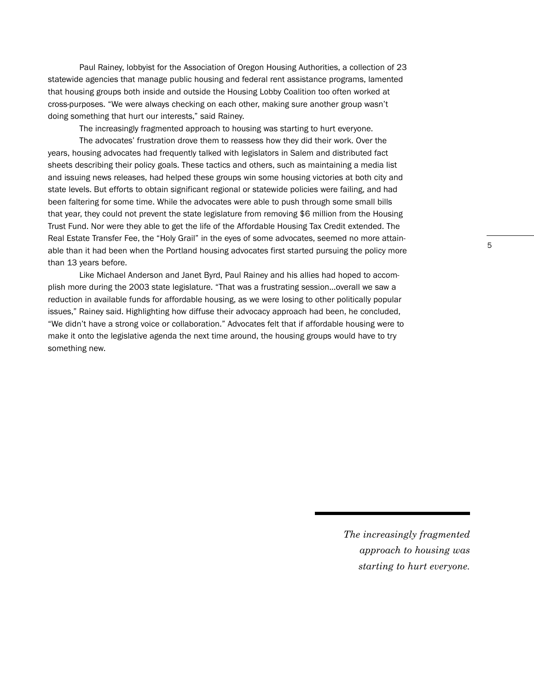Paul Rainey, lobbyist for the Association of Oregon Housing Authorities, a collection of 23 statewide agencies that manage public housing and federal rent assistance programs, lamented that housing groups both inside and outside the Housing Lobby Coalition too often worked at cross-purposes. "We were always checking on each other, making sure another group wasn't doing something that hurt our interests," said Rainey.

The increasingly fragmented approach to housing was starting to hurt everyone.

The advocates' frustration drove them to reassess how they did their work. Over the years, housing advocates had frequently talked with legislators in Salem and distributed fact sheets describing their policy goals. These tactics and others, such as maintaining a media list and issuing news releases, had helped these groups win some housing victories at both city and state levels. But efforts to obtain significant regional or statewide policies were failing, and had been faltering for some time. While the advocates were able to push through some small bills that year, they could not prevent the state legislature from removing \$6 million from the Housing Trust Fund. Nor were they able to get the life of the Affordable Housing Tax Credit extended. The Real Estate Transfer Fee, the "Holy Grail" in the eyes of some advocates, seemed no more attainable than it had been when the Portland housing advocates first started pursuing the policy more than 13 years before.

Like Michael Anderson and Janet Byrd, Paul Rainey and his allies had hoped to accomplish more during the 2003 state legislature. "That was a frustrating session…overall we saw a reduction in available funds for affordable housing, as we were losing to other politically popular issues," Rainey said. Highlighting how diffuse their advocacy approach had been, he concluded, "We didn't have a strong voice or collaboration." Advocates felt that if affordable housing were to make it onto the legislative agenda the next time around, the housing groups would have to try something new.

> *The increasingly fragmented approach to housing was starting to hurt everyone.*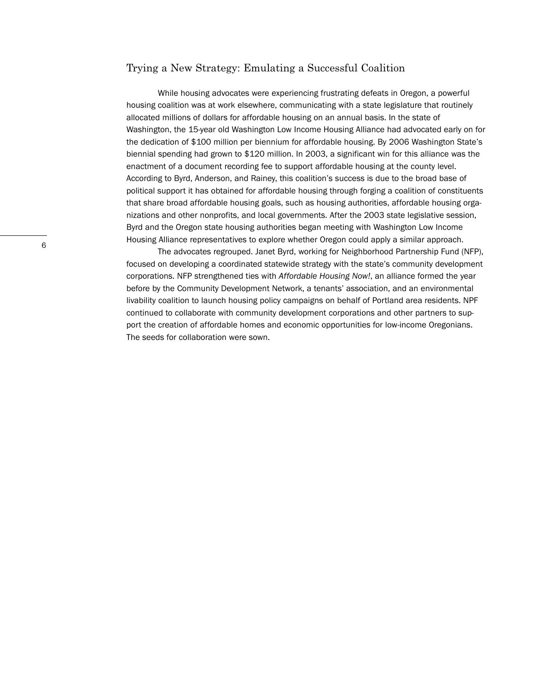### Trying a New Strategy: Emulating a Successful Coalition

While housing advocates were experiencing frustrating defeats in Oregon, a powerful housing coalition was at work elsewhere, communicating with a state legislature that routinely allocated millions of dollars for affordable housing on an annual basis. In the state of Washington, the 15-year old Washington Low Income Housing Alliance had advocated early on for the dedication of \$100 million per biennium for affordable housing. By 2006 Washington State's biennial spending had grown to \$120 million. In 2003, a significant win for this alliance was the enactment of a document recording fee to support affordable housing at the county level. According to Byrd, Anderson, and Rainey, this coalition's success is due to the broad base of political support it has obtained for affordable housing through forging a coalition of constituents that share broad affordable housing goals, such as housing authorities, affordable housing organizations and other nonprofits, and local governments. After the 2003 state legislative session, Byrd and the Oregon state housing authorities began meeting with Washington Low Income Housing Alliance representatives to explore whether Oregon could apply a similar approach.

The advocates regrouped. Janet Byrd, working for Neighborhood Partnership Fund (NFP), focused on developing a coordinated statewide strategy with the state's community development corporations. NFP strengthened ties with *Affordable Housing Now!*, an alliance formed the year before by the Community Development Network, a tenants' association, and an environmental livability coalition to launch housing policy campaigns on behalf of Portland area residents. NPF continued to collaborate with community development corporations and other partners to support the creation of affordable homes and economic opportunities for low-income Oregonians. The seeds for collaboration were sown.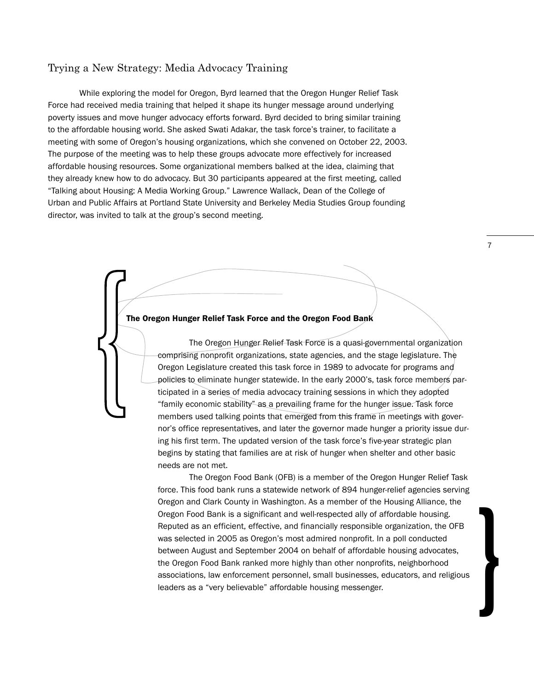# Trying a New Strategy: Media Advocacy Training

While exploring the model for Oregon, Byrd learned that the Oregon Hunger Relief Task Force had received media training that helped it shape its hunger message around underlying poverty issues and move hunger advocacy efforts forward. Byrd decided to bring similar training to the affordable housing world. She asked Swati Adakar, the task force's trainer, to facilitate a meeting with some of Oregon's housing organizations, which she convened on October 22, 2003. The purpose of the meeting was to help these groups advocate more effectively for increased affordable housing resources. Some organizational members balked at the idea, claiming that they already knew how to do advocacy. But 30 participants appeared at the first meeting, called "Talking about Housing: A Media Working Group." Lawrence Wallack, Dean of the College of Urban and Public Affairs at Portland State University and Berkeley Media Studies Group founding director, was invited to talk at the group's second meeting.

# **The Oregon Hunger Relief Task Force and the Oregon Food Bank }**

The Oregon Hunger Relief Task Force is a quasi-governmental organization comprising nonprofit organizations, state agencies, and the stage legislature. The Oregon Legislature created this task force in 1989 to advocate for programs and policies to eliminate hunger statewide. In the early 2000's, task force members participated in a series of media advocacy training sessions in which they adopted "family economic stability" as a prevailing frame for the hunger issue. Task force members used talking points that emerged from this frame in meetings with governor's office representatives, and later the governor made hunger a priority issue during his first term. The updated version of the task force's five-year strategic plan begins by stating that families are at risk of hunger when shelter and other basic needs are not met.

The Oregon Food Bank (OFB) is a member of the Oregon Hunger Relief Task force. This food bank runs a statewide network of 894 hunger-relief agencies serving Oregon and Clark County in Washington. As a member of the Housing Alliance, the Oregon Food Bank is a significant and well-respected ally of affordable housing. Reputed as an efficient, effective, and financially responsible organization, the OFB was selected in 2005 as Oregon's most admired nonprofit. In a poll conducted between August and September 2004 on behalf of affordable housing advocates, the Oregon Food Bank ranked more highly than other nonprofits, neighborhood associations, law enforcement personnel, small businesses, educators, and religious leaders as a "very believable" affordable housing messenger.

7

}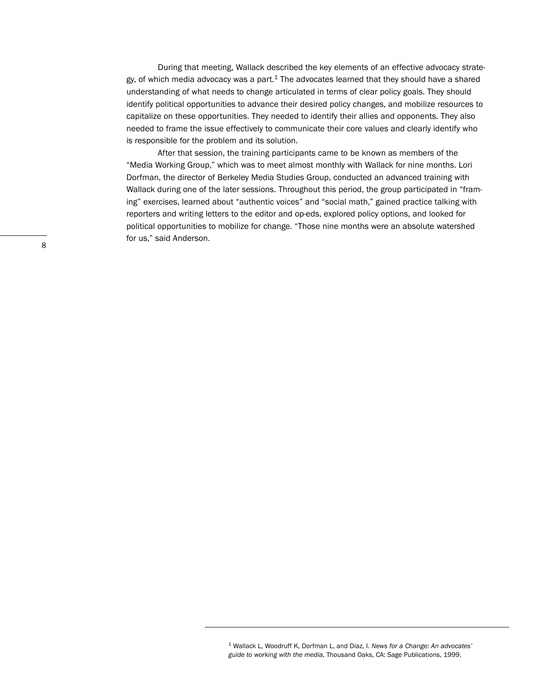During that meeting, Wallack described the key elements of an effective advocacy strategy, of which media advocacy was a part. $1$  The advocates learned that they should have a shared understanding of what needs to change articulated in terms of clear policy goals. They should identify political opportunities to advance their desired policy changes, and mobilize resources to capitalize on these opportunities. They needed to identify their allies and opponents. They also needed to frame the issue effectively to communicate their core values and clearly identify who is responsible for the problem and its solution.

After that session, the training participants came to be known as members of the "Media Working Group," which was to meet almost monthly with Wallack for nine months. Lori Dorfman, the director of Berkeley Media Studies Group, conducted an advanced training with Wallack during one of the later sessions. Throughout this period, the group participated in "framing" exercises, learned about "authentic voices" and "social math," gained practice talking with reporters and writing letters to the editor and op-eds, explored policy options, and looked for political opportunities to mobilize for change. "Those nine months were an absolute watershed for us," said Anderson.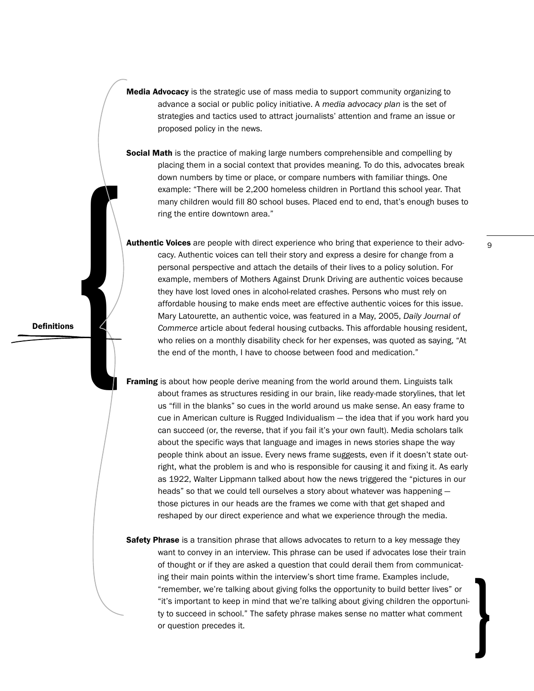**Media Advocacy** is the strategic use of mass media to support community organizing to advance a social or public policy initiative. A *media advocacy plan* is the set of strategies and tactics used to attract journalists' attention and frame an issue or proposed policy in the news.

**Social Math** is the practice of making large numbers comprehensible and compelling by placing them in a social context that provides meaning. To do this, advocates break down numbers by time or place, or compare numbers with familiar things. One example: "There will be 2,200 homeless children in Portland this school year. That many children would fill 80 school buses. Placed end to end, that's enough buses to ring the entire downtown area."

strategies and catearistic and the method of the method of connections, who relies on a diversion of the method of the method of the method of the proposed policy in the news.<br> **Social Math** is the practice of making large **Authentic Voices** are people with direct experience who bring that experience to their advocacy. Authentic voices can tell their story and express a desire for change from a personal perspective and attach the details of their lives to a policy solution. For example, members of Mothers Against Drunk Driving are authentic voices because they have lost loved ones in alcohol-related crashes. Persons who must rely on affordable housing to make ends meet are effective authentic voices for this issue. Mary Latourette, an authentic voice, was featured in a May, 2005, *Daily Journal of Commerce* article about federal housing cutbacks. This affordable housing resident, who relies on a monthly disability check for her expenses, was quoted as saying, "At the end of the month, I have to choose between food and medication."

> **Framing** is about how people derive meaning from the world around them. Linguists talk about frames as structures residing in our brain, like ready-made storylines, that let us "fill in the blanks" so cues in the world around us make sense. An easy frame to cue in American culture is Rugged Individualism — the idea that if you work hard you can succeed (or, the reverse, that if you fail it's your own fault). Media scholars talk about the specific ways that language and images in news stories shape the way people think about an issue. Every news frame suggests, even if it doesn't state outright, what the problem is and who is responsible for causing it and fixing it. As early as 1922, Walter Lippmann talked about how the news triggered the "pictures in our heads" so that we could tell ourselves a story about whatever was happening those pictures in our heads are the frames we come with that get shaped and reshaped by our direct experience and what we experience through the media.

> **Safety Phrase** is a transition phrase that allows advocates to return to a key message they want to convey in an interview. This phrase can be used if advocates lose their train of thought or if they are asked a question that could derail them from communicating their main points within the interview's short time frame. Examples include, "remember, we're talking about giving folks the opportunity to build better lives" or "it's important to keep in mind that we're talking about giving children the opportunity to succeed in school." The safety phrase makes sense no matter what comment or question precedes it.

**Definitions**

}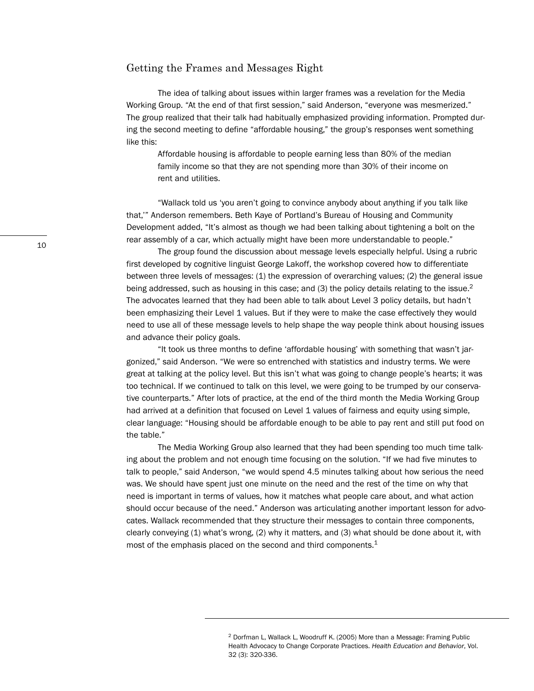#### Getting the Frames and Messages Right

The idea of talking about issues within larger frames was a revelation for the Media Working Group. "At the end of that first session," said Anderson, "everyone was mesmerized." The group realized that their talk had habitually emphasized providing information. Prompted during the second meeting to define "affordable housing," the group's responses went something like this:

Affordable housing is affordable to people earning less than 80% of the median family income so that they are not spending more than 30% of their income on rent and utilities.

"Wallack told us 'you aren't going to convince anybody about anything if you talk like that,'" Anderson remembers. Beth Kaye of Portland's Bureau of Housing and Community Development added, "It's almost as though we had been talking about tightening a bolt on the rear assembly of a car, which actually might have been more understandable to people."

The group found the discussion about message levels especially helpful. Using a rubric first developed by cognitive linguist George Lakoff, the workshop covered how to differentiate between three levels of messages: (1) the expression of overarching values; (2) the general issue being addressed, such as housing in this case; and (3) the policy details relating to the issue.<sup>2</sup> The advocates learned that they had been able to talk about Level 3 policy details, but hadn't been emphasizing their Level 1 values. But if they were to make the case effectively they would need to use all of these message levels to help shape the way people think about housing issues and advance their policy goals.

"It took us three months to define 'affordable housing' with something that wasn't jargonized," said Anderson. "We were so entrenched with statistics and industry terms. We were great at talking at the policy level. But this isn't what was going to change people's hearts; it was too technical. If we continued to talk on this level, we were going to be trumped by our conservative counterparts." After lots of practice, at the end of the third month the Media Working Group had arrived at a definition that focused on Level 1 values of fairness and equity using simple, clear language: "Housing should be affordable enough to be able to pay rent and still put food on the table."

The Media Working Group also learned that they had been spending too much time talking about the problem and not enough time focusing on the solution. "If we had five minutes to talk to people," said Anderson, "we would spend 4.5 minutes talking about how serious the need was. We should have spent just one minute on the need and the rest of the time on why that need is important in terms of values, how it matches what people care about, and what action should occur because of the need." Anderson was articulating another important lesson for advocates. Wallack recommended that they structure their messages to contain three components, clearly conveying (1) what's wrong, (2) why it matters, and (3) what should be done about it, with most of the emphasis placed on the second and third components.<sup>1</sup>

<sup>2</sup> Dorfman L, Wallack L, Woodruff K. (2005) More than a Message: Framing Public Health Advocacy to Change Corporate Practices. *Health Education and Behavior*, Vol. 32 (3): 320-336.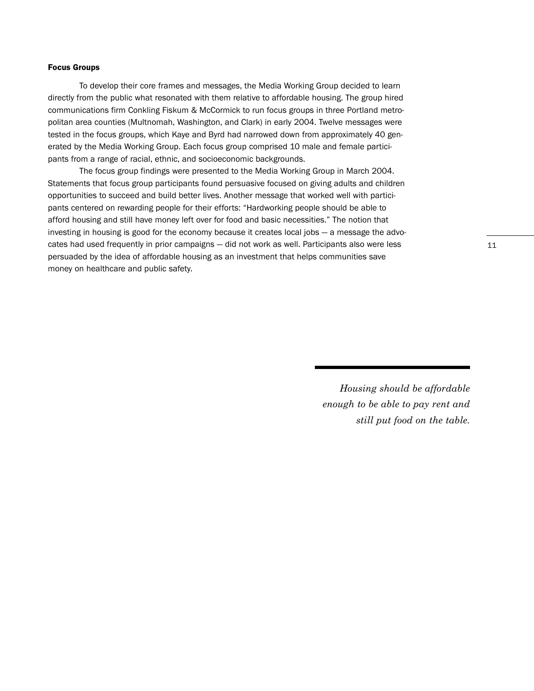#### **Focus Groups**

To develop their core frames and messages, the Media Working Group decided to learn directly from the public what resonated with them relative to affordable housing. The group hired communications firm Conkling Fiskum & McCormick to run focus groups in three Portland metropolitan area counties (Multnomah, Washington, and Clark) in early 2004. Twelve messages were tested in the focus groups, which Kaye and Byrd had narrowed down from approximately 40 generated by the Media Working Group. Each focus group comprised 10 male and female participants from a range of racial, ethnic, and socioeconomic backgrounds.

The focus group findings were presented to the Media Working Group in March 2004. Statements that focus group participants found persuasive focused on giving adults and children opportunities to succeed and build better lives. Another message that worked well with participants centered on rewarding people for their efforts: "Hardworking people should be able to afford housing and still have money left over for food and basic necessities." The notion that investing in housing is good for the economy because it creates local jobs — a message the advocates had used frequently in prior campaigns — did not work as well. Participants also were less persuaded by the idea of affordable housing as an investment that helps communities save money on healthcare and public safety.

> *Housing should be affordable enough to be able to pay rent and still put food on the table.*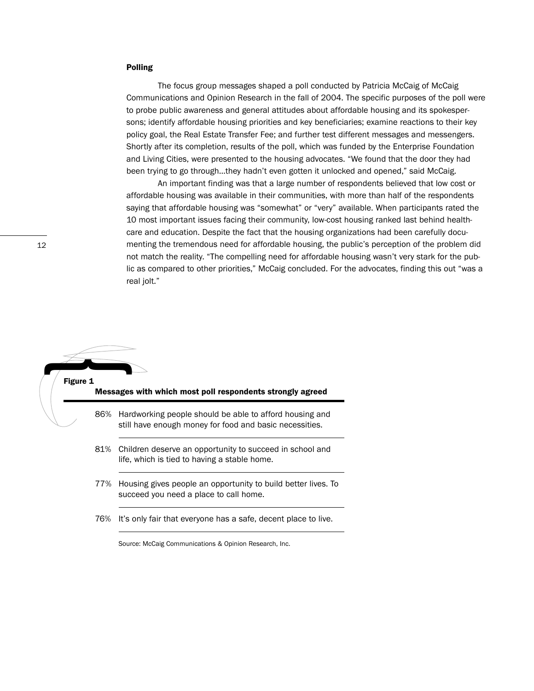#### **Polling**

The focus group messages shaped a poll conducted by Patricia McCaig of McCaig Communications and Opinion Research in the fall of 2004. The specific purposes of the poll were to probe public awareness and general attitudes about affordable housing and its spokespersons; identify affordable housing priorities and key beneficiaries; examine reactions to their key policy goal, the Real Estate Transfer Fee; and further test different messages and messengers. Shortly after its completion, results of the poll, which was funded by the Enterprise Foundation and Living Cities, were presented to the housing advocates. "We found that the door they had been trying to go through…they hadn't even gotten it unlocked and opened," said McCaig.

An important finding was that a large number of respondents believed that low cost or affordable housing was available in their communities, with more than half of the respondents saying that affordable housing was "somewhat" or "very" available. When participants rated the 10 most important issues facing their community, low-cost housing ranked last behind healthcare and education. Despite the fact that the housing organizations had been carefully documenting the tremendous need for affordable housing, the public's perception of the problem did not match the reality. "The compelling need for affordable housing wasn't very stark for the public as compared to other priorities," McCaig concluded. For the advocates, finding this out "was a real jolt."

# **Figure 1 Messages with which most poll respondents strongly agreed** 86% Hardworking people should be able to afford housing and still have enough money for food and basic necessities. 81% Children deserve an opportunity to succeed in school and life, which is tied to having a stable home. 77% Housing gives people an opportunity to build better lives. To **1990**

- succeed you need a place to call home.
- 76% It's only fair that everyone has a safe, decent place to live.

Source: McCaig Communications & Opinion Research, Inc.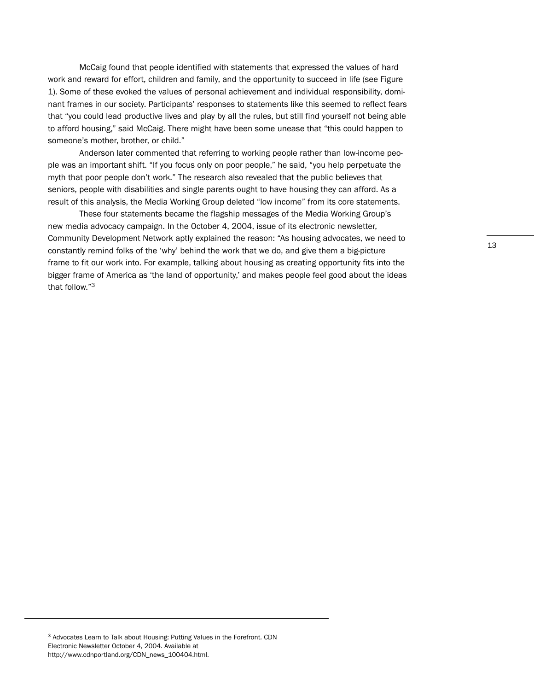McCaig found that people identified with statements that expressed the values of hard work and reward for effort, children and family, and the opportunity to succeed in life (see Figure 1). Some of these evoked the values of personal achievement and individual responsibility, dominant frames in our society. Participants' responses to statements like this seemed to reflect fears that "you could lead productive lives and play by all the rules, but still find yourself not being able to afford housing," said McCaig. There might have been some unease that "this could happen to someone's mother, brother, or child."

Anderson later commented that referring to working people rather than low-income people was an important shift. "If you focus only on poor people," he said, "you help perpetuate the myth that poor people don't work." The research also revealed that the public believes that seniors, people with disabilities and single parents ought to have housing they can afford. As a result of this analysis, the Media Working Group deleted "low income" from its core statements.

These four statements became the flagship messages of the Media Working Group's new media advocacy campaign. In the October 4, 2004, issue of its electronic newsletter, Community Development Network aptly explained the reason: "As housing advocates, we need to constantly remind folks of the 'why' behind the work that we do, and give them a big-picture frame to fit our work into. For example, talking about housing as creating opportunity fits into the bigger frame of America as 'the land of opportunity,' and makes people feel good about the ideas that follow."3

<sup>3</sup> Advocates Learn to Talk about Housing: Putting Values in the Forefront. CDN Electronic Newsletter October 4, 2004. Available at http://www.cdnportland.org/CDN\_news\_100404.html.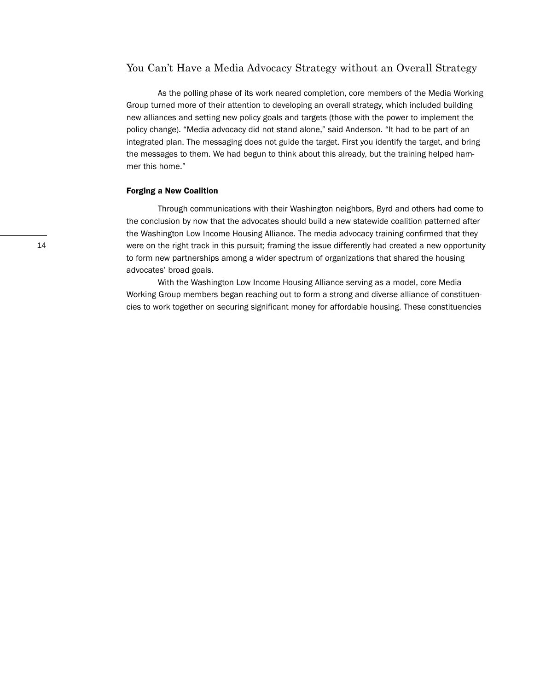#### You Can't Have a Media Advocacy Strategy without an Overall Strategy

As the polling phase of its work neared completion, core members of the Media Working Group turned more of their attention to developing an overall strategy, which included building new alliances and setting new policy goals and targets (those with the power to implement the policy change). "Media advocacy did not stand alone," said Anderson. "It had to be part of an integrated plan. The messaging does not guide the target. First you identify the target, and bring the messages to them. We had begun to think about this already, but the training helped hammer this home."

#### **Forging a New Coalition**

Through communications with their Washington neighbors, Byrd and others had come to the conclusion by now that the advocates should build a new statewide coalition patterned after the Washington Low Income Housing Alliance. The media advocacy training confirmed that they were on the right track in this pursuit; framing the issue differently had created a new opportunity to form new partnerships among a wider spectrum of organizations that shared the housing advocates' broad goals.

With the Washington Low Income Housing Alliance serving as a model, core Media Working Group members began reaching out to form a strong and diverse alliance of constituencies to work together on securing significant money for affordable housing. These constituencies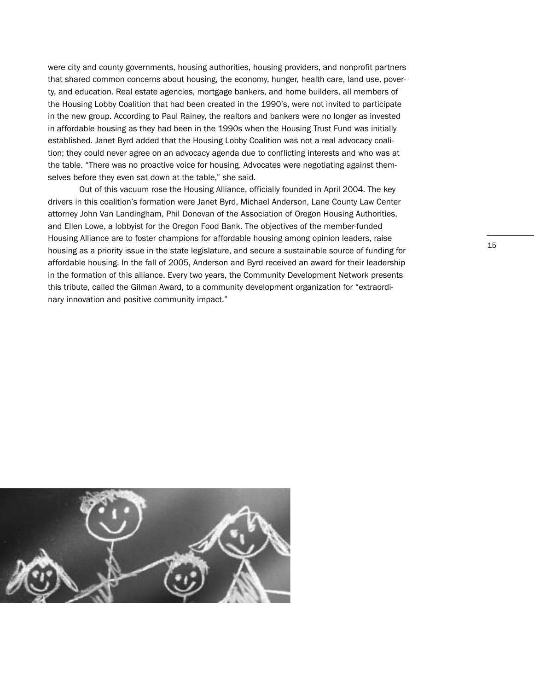were city and county governments, housing authorities, housing providers, and nonprofit partners that shared common concerns about housing, the economy, hunger, health care, land use, poverty, and education. Real estate agencies, mortgage bankers, and home builders, all members of the Housing Lobby Coalition that had been created in the 1990's, were not invited to participate in the new group. According to Paul Rainey, the realtors and bankers were no longer as invested in affordable housing as they had been in the 1990s when the Housing Trust Fund was initially established. Janet Byrd added that the Housing Lobby Coalition was not a real advocacy coalition; they could never agree on an advocacy agenda due to conflicting interests and who was at the table. "There was no proactive voice for housing. Advocates were negotiating against themselves before they even sat down at the table," she said.

Out of this vacuum rose the Housing Alliance, officially founded in April 2004. The key drivers in this coalition's formation were Janet Byrd, Michael Anderson, Lane County Law Center attorney John Van Landingham, Phil Donovan of the Association of Oregon Housing Authorities, and Ellen Lowe, a lobbyist for the Oregon Food Bank. The objectives of the member-funded Housing Alliance are to foster champions for affordable housing among opinion leaders, raise housing as a priority issue in the state legislature, and secure a sustainable source of funding for affordable housing. In the fall of 2005, Anderson and Byrd received an award for their leadership in the formation of this alliance. Every two years, the Community Development Network presents this tribute, called the Gilman Award, to a community development organization for "extraordinary innovation and positive community impact."

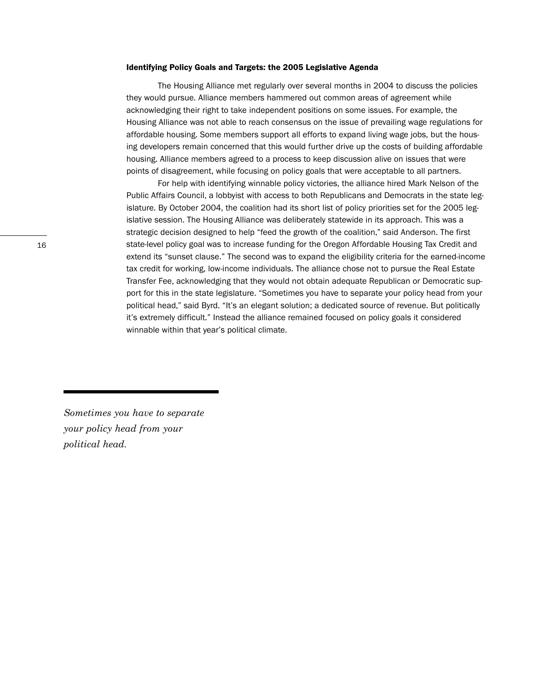#### **Identifying Policy Goals and Targets: the 2005 Legislative Agenda**

The Housing Alliance met regularly over several months in 2004 to discuss the policies they would pursue. Alliance members hammered out common areas of agreement while acknowledging their right to take independent positions on some issues. For example, the Housing Alliance was not able to reach consensus on the issue of prevailing wage regulations for affordable housing. Some members support all efforts to expand living wage jobs, but the housing developers remain concerned that this would further drive up the costs of building affordable housing. Alliance members agreed to a process to keep discussion alive on issues that were points of disagreement, while focusing on policy goals that were acceptable to all partners.

For help with identifying winnable policy victories, the alliance hired Mark Nelson of the Public Affairs Council, a lobbyist with access to both Republicans and Democrats in the state legislature. By October 2004, the coalition had its short list of policy priorities set for the 2005 legislative session. The Housing Alliance was deliberately statewide in its approach. This was a strategic decision designed to help "feed the growth of the coalition," said Anderson. The first state-level policy goal was to increase funding for the Oregon Affordable Housing Tax Credit and extend its "sunset clause." The second was to expand the eligibility criteria for the earned-income tax credit for working, low-income individuals. The alliance chose not to pursue the Real Estate Transfer Fee, acknowledging that they would not obtain adequate Republican or Democratic support for this in the state legislature. "Sometimes you have to separate your policy head from your political head," said Byrd. "It's an elegant solution; a dedicated source of revenue. But politically it's extremely difficult." Instead the alliance remained focused on policy goals it considered winnable within that year's political climate.

*Sometimes you have to separate your policy head from your political head.*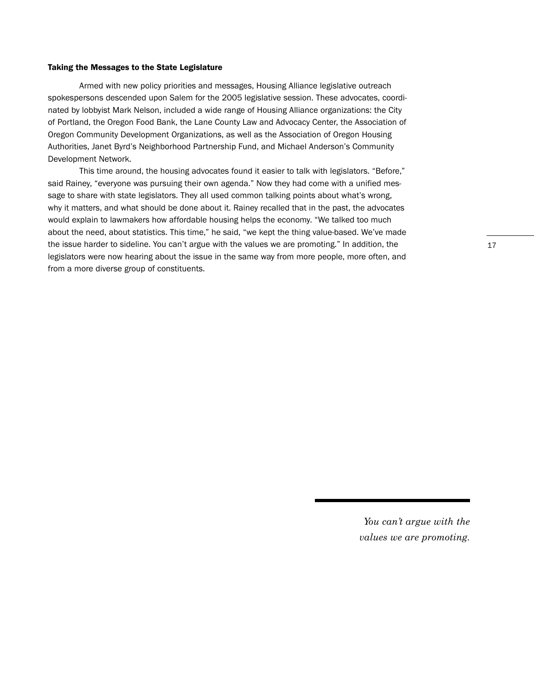#### **Taking the Messages to the State Legislature**

Armed with new policy priorities and messages, Housing Alliance legislative outreach spokespersons descended upon Salem for the 2005 legislative session. These advocates, coordinated by lobbyist Mark Nelson, included a wide range of Housing Alliance organizations: the City of Portland, the Oregon Food Bank, the Lane County Law and Advocacy Center, the Association of Oregon Community Development Organizations, as well as the Association of Oregon Housing Authorities, Janet Byrd's Neighborhood Partnership Fund, and Michael Anderson's Community Development Network.

This time around, the housing advocates found it easier to talk with legislators. "Before," said Rainey, "everyone was pursuing their own agenda." Now they had come with a unified message to share with state legislators. They all used common talking points about what's wrong, why it matters, and what should be done about it. Rainey recalled that in the past, the advocates would explain to lawmakers how affordable housing helps the economy. "We talked too much about the need, about statistics. This time," he said, "we kept the thing value-based. We've made the issue harder to sideline. You can't argue with the values we are promoting." In addition, the legislators were now hearing about the issue in the same way from more people, more often, and from a more diverse group of constituents.

> *You can't argue with the values we are promoting.*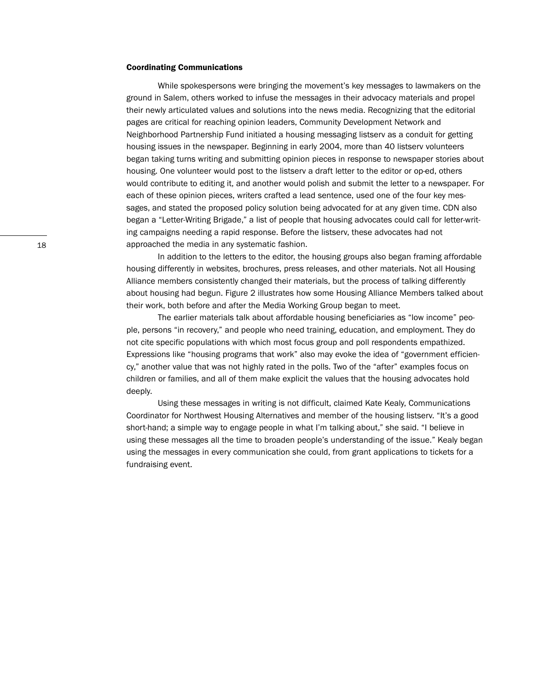#### **Coordinating Communications**

While spokespersons were bringing the movement's key messages to lawmakers on the ground in Salem, others worked to infuse the messages in their advocacy materials and propel their newly articulated values and solutions into the news media. Recognizing that the editorial pages are critical for reaching opinion leaders, Community Development Network and Neighborhood Partnership Fund initiated a housing messaging listserv as a conduit for getting housing issues in the newspaper. Beginning in early 2004, more than 40 listserv volunteers began taking turns writing and submitting opinion pieces in response to newspaper stories about housing. One volunteer would post to the listserv a draft letter to the editor or op-ed, others would contribute to editing it, and another would polish and submit the letter to a newspaper. For each of these opinion pieces, writers crafted a lead sentence, used one of the four key messages, and stated the proposed policy solution being advocated for at any given time. CDN also began a "Letter-Writing Brigade," a list of people that housing advocates could call for letter-writing campaigns needing a rapid response. Before the listserv, these advocates had not approached the media in any systematic fashion.

In addition to the letters to the editor, the housing groups also began framing affordable housing differently in websites, brochures, press releases, and other materials. Not all Housing Alliance members consistently changed their materials, but the process of talking differently about housing had begun. Figure 2 illustrates how some Housing Alliance Members talked about their work, both before and after the Media Working Group began to meet.

The earlier materials talk about affordable housing beneficiaries as "low income" people, persons "in recovery," and people who need training, education, and employment. They do not cite specific populations with which most focus group and poll respondents empathized. Expressions like "housing programs that work" also may evoke the idea of "government efficiency," another value that was not highly rated in the polls. Two of the "after" examples focus on children or families, and all of them make explicit the values that the housing advocates hold deeply.

Using these messages in writing is not difficult, claimed Kate Kealy, Communications Coordinator for Northwest Housing Alternatives and member of the housing listserv. "It's a good short-hand; a simple way to engage people in what I'm talking about," she said. "I believe in using these messages all the time to broaden people's understanding of the issue." Kealy began using the messages in every communication she could, from grant applications to tickets for a fundraising event.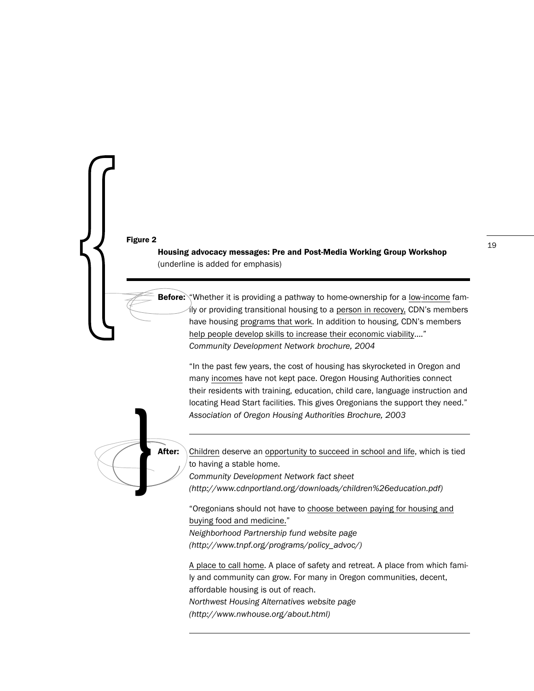# **Figure 2**  $\overline{\phantom{a}}$  19

 $\left\{\begin{matrix}1\\1\end{matrix}\right\}$ 

**Housing advocacy messages: Pre and Post-Media Working Group Workshop** (underline is added for emphasis)

**Before:** "Whether it is providing a pathway to home-ownership for a low-income family or providing transitional housing to a person in recovery, CDN's members have housing programs that work. In addition to housing, CDN's members help people develop skills to increase their economic viability...." *Community Development Network brochure, 2004*

"In the past few years, the cost of housing has skyrocketed in Oregon and many incomes have not kept pace. Oregon Housing Authorities connect their residents with training, education, child care, language instruction and locating Head Start facilities. This gives Oregonians the support they need." *Association of Oregon Housing Authorities Brochure, 2003*



**After:** Children deserve an opportunity to succeed in school and life, which is tied to having a stable home.

*Community Development Network fact sheet*

*(http://www.cdnportland.org/downloads/children%26education.pdf)*

"Oregonians should not have to choose between paying for housing and buying food and medicine."

*Neighborhood Partnership fund website page (http://www.tnpf.org/programs/policy\_advoc/)*

A place to call home. A place of safety and retreat. A place from which family and community can grow. For many in Oregon communities, decent, affordable housing is out of reach. *Northwest Housing Alternatives website page* 

*(http://www.nwhouse.org/about.html)*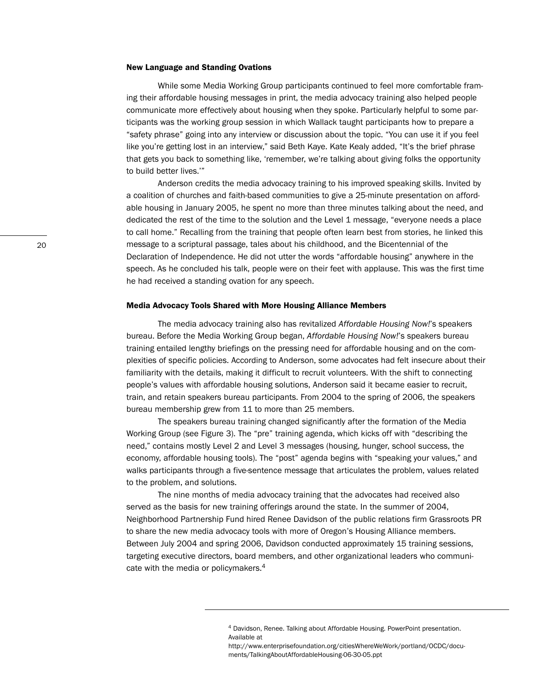#### **New Language and Standing Ovations**

While some Media Working Group participants continued to feel more comfortable framing their affordable housing messages in print, the media advocacy training also helped people communicate more effectively about housing when they spoke. Particularly helpful to some participants was the working group session in which Wallack taught participants how to prepare a "safety phrase" going into any interview or discussion about the topic. "You can use it if you feel like you're getting lost in an interview," said Beth Kaye. Kate Kealy added, "It's the brief phrase that gets you back to something like, 'remember, we're talking about giving folks the opportunity to build better lives.'"

Anderson credits the media advocacy training to his improved speaking skills. Invited by a coalition of churches and faith-based communities to give a 25-minute presentation on affordable housing in January 2005, he spent no more than three minutes talking about the need, and dedicated the rest of the time to the solution and the Level 1 message, "everyone needs a place to call home." Recalling from the training that people often learn best from stories, he linked this message to a scriptural passage, tales about his childhood, and the Bicentennial of the Declaration of Independence. He did not utter the words "affordable housing" anywhere in the speech. As he concluded his talk, people were on their feet with applause. This was the first time he had received a standing ovation for any speech.

#### **Media Advocacy Tools Shared with More Housing Alliance Members**

The media advocacy training also has revitalized *Affordable Housing Now!*'s speakers bureau. Before the Media Working Group began, *Affordable Housing Now!*'s speakers bureau training entailed lengthy briefings on the pressing need for affordable housing and on the complexities of specific policies. According to Anderson, some advocates had felt insecure about their familiarity with the details, making it difficult to recruit volunteers. With the shift to connecting people's values with affordable housing solutions, Anderson said it became easier to recruit, train, and retain speakers bureau participants. From 2004 to the spring of 2006, the speakers bureau membership grew from 11 to more than 25 members.

The speakers bureau training changed significantly after the formation of the Media Working Group (see Figure 3). The "pre" training agenda, which kicks off with "describing the need," contains mostly Level 2 and Level 3 messages (housing, hunger, school success, the economy, affordable housing tools). The "post" agenda begins with "speaking your values," and walks participants through a five-sentence message that articulates the problem, values related to the problem, and solutions.

The nine months of media advocacy training that the advocates had received also served as the basis for new training offerings around the state. In the summer of 2004, Neighborhood Partnership Fund hired Renee Davidson of the public relations firm Grassroots PR to share the new media advocacy tools with more of Oregon's Housing Alliance members. Between July 2004 and spring 2006, Davidson conducted approximately 15 training sessions, targeting executive directors, board members, and other organizational leaders who communicate with the media or policymakers.<sup>4</sup>

<sup>4</sup> Davidson, Renee. Talking about Affordable Housing. PowerPoint presentation. Available at

http://www.enterprisefoundation.org/citiesWhereWeWork/portland/OCDC/documents/TalkingAboutAffordableHousing-06-30-05.ppt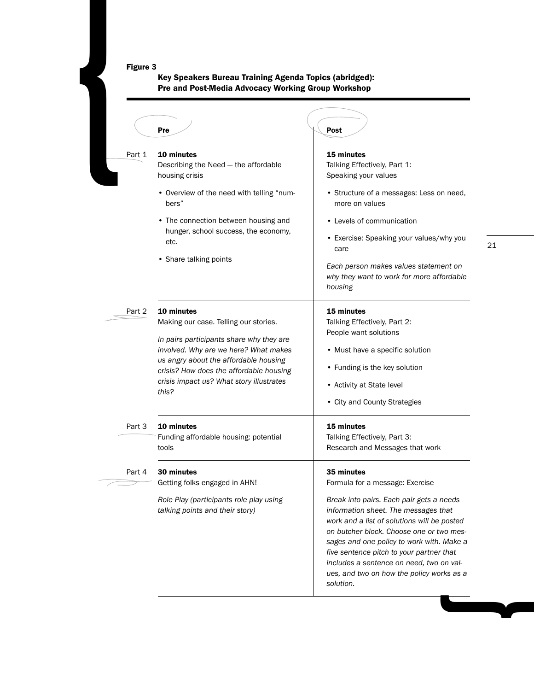#### **Figure 3**

#### **Key Speakers Bureau Training Agenda Topics (abridged): Pre and Post-Media Advocacy Working Group Workshop**

| Figure 3 |                                                        |                                                                                  |    |
|----------|--------------------------------------------------------|----------------------------------------------------------------------------------|----|
|          |                                                        |                                                                                  |    |
|          |                                                        |                                                                                  |    |
|          |                                                        |                                                                                  |    |
|          |                                                        |                                                                                  |    |
|          |                                                        |                                                                                  |    |
|          |                                                        |                                                                                  |    |
|          |                                                        |                                                                                  |    |
|          | Key Speakers Bureau Training Agenda Topics (abridged): |                                                                                  |    |
|          | Pre and Post-Media Advocacy Working Group Workshop     |                                                                                  |    |
|          |                                                        |                                                                                  |    |
|          |                                                        |                                                                                  |    |
|          |                                                        |                                                                                  |    |
|          | Pre                                                    | Post                                                                             |    |
|          |                                                        |                                                                                  |    |
| Part 1   | 10 minutes<br>Describing the Need - the affordable     | 15 minutes<br>Talking Effectively, Part 1:                                       |    |
|          | housing crisis                                         | Speaking your values                                                             |    |
|          |                                                        |                                                                                  |    |
|          | • Overview of the need with telling "num-<br>bers"     | • Structure of a messages: Less on need,<br>more on values                       |    |
|          | • The connection between housing and                   | • Levels of communication                                                        |    |
|          | hunger, school success, the economy,                   |                                                                                  |    |
|          | etc.                                                   | • Exercise: Speaking your values/why you<br>care                                 | 21 |
|          | • Share talking points                                 |                                                                                  |    |
|          |                                                        | Each person makes values statement on                                            |    |
|          |                                                        | why they want to work for more affordable<br>housing                             |    |
|          |                                                        |                                                                                  |    |
| Part 2   | 10 minutes                                             | 15 minutes                                                                       |    |
|          | Making our case. Telling our stories.                  | Talking Effectively, Part 2:                                                     |    |
|          | In pairs participants share why they are               | People want solutions                                                            |    |
|          | involved. Why are we here? What makes                  | • Must have a specific solution                                                  |    |
|          | us angry about the affordable housing                  |                                                                                  |    |
|          | crisis? How does the affordable housing                | • Funding is the key solution                                                    |    |
|          | crisis impact us? What story illustrates<br>this?      | • Activity at State level                                                        |    |
|          |                                                        | • City and County Strategies                                                     |    |
| Part 3   | 10 minutes                                             | 15 minutes                                                                       |    |
|          | Funding affordable housing: potential                  | Talking Effectively, Part 3:                                                     |    |
|          | tools                                                  | Research and Messages that work                                                  |    |
| Part 4   | 30 minutes                                             | 35 minutes                                                                       |    |
|          | Getting folks engaged in AHN!                          | Formula for a message: Exercise                                                  |    |
|          |                                                        |                                                                                  |    |
|          | Role Play (participants role play using                | Break into pairs. Each pair gets a needs<br>information sheet. The messages that |    |
|          | talking points and their story)                        | work and a list of solutions will be posted                                      |    |
|          |                                                        | on butcher block. Choose one or two mes-                                         |    |
|          |                                                        | sages and one policy to work with. Make a                                        |    |
|          |                                                        | five sentence pitch to your partner that                                         |    |
|          |                                                        | includes a sentence on need, two on val-                                         |    |
|          |                                                        | ues, and two on how the policy works as a                                        |    |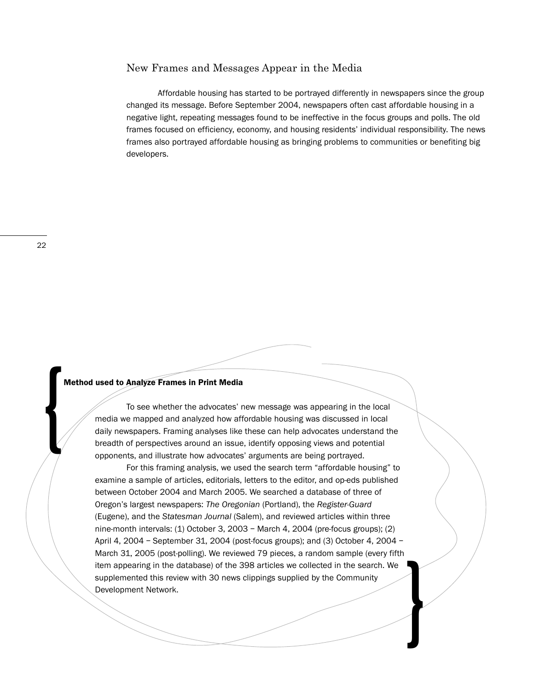#### New Frames and Messages Appear in the Media

Affordable housing has started to be portrayed differently in newspapers since the group changed its message. Before September 2004, newspapers often cast affordable housing in a negative light, repeating messages found to be ineffective in the focus groups and polls. The old frames focused on efficiency, economy, and housing residents' individual responsibility. The news frames also portrayed affordable housing as bringing problems to communities or benefiting big developers.

{

#### **Method used to Analyze Frames in Print Media**

To see whether the advocates' new message was appearing in the local media we mapped and analyzed how affordable housing was discussed in local daily newspapers. Framing analyses like these can help advocates understand the breadth of perspectives around an issue, identify opposing views and potential opponents, and illustrate how advocates' arguments are being portrayed.

For this framing analysis, we used the search term "affordable housing" to examine a sample of articles, editorials, letters to the editor, and op-eds published between October 2004 and March 2005. We searched a database of three of Oregon's largest newspapers: *The Oregonian* (Portland), the *Register-Guard* (Eugene), and the *Statesman Journal* (Salem), and reviewed articles within three nine-month intervals: (1) October 3, 2003 – March 4, 2004 (pre-focus groups); (2) April 4, 2004 – September 31, 2004 (post-focus groups); and (3) October 4, 2004 – March 31, 2005 (post-polling). We reviewed 79 pieces, a random sample (every fifth item appearing in the database) of the 398 articles we collected in the search. We supplemented this review with 30 news clippings supplied by the Community Development Network.

}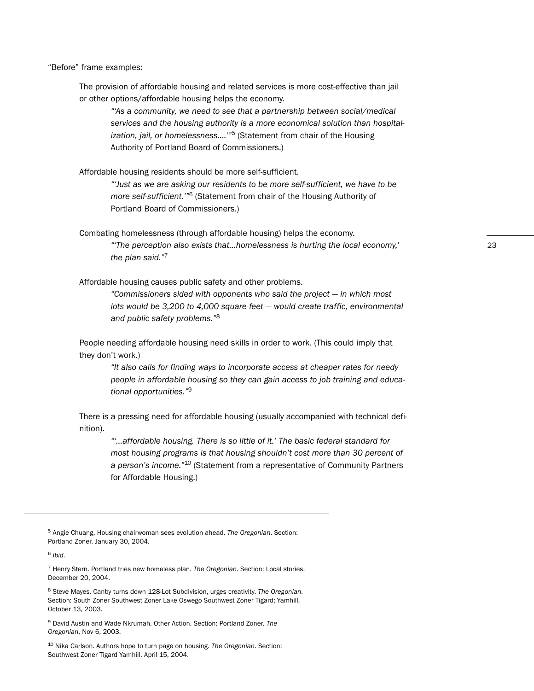"Before" frame examples:

The provision of affordable housing and related services is more cost-effective than jail or other options/affordable housing helps the economy.

*"'As a community, we need to see that a partnership between social/medical services and the housing authority is a more economical solution than hospitalization, jail, or homelessness….'"*<sup>5</sup> (Statement from chair of the Housing Authority of Portland Board of Commissioners.)

Affordable housing residents should be more self-sufficient.

*"'Just as we are asking our residents to be more self-sufficient, we have to be more self-sufficient.'"*<sup>6</sup> (Statement from chair of the Housing Authority of Portland Board of Commissioners.)

Combating homelessness (through affordable housing) helps the economy. *"'The perception also exists that…homelessness is hurting the local economy,' the plan said."*<sup>7</sup>

Affordable housing causes public safety and other problems.

*"Commissioners sided with opponents who said the project — in which most lots would be 3,200 to 4,000 square feet — would create traffic, environmental and public safety problems."*<sup>8</sup>

People needing affordable housing need skills in order to work. (This could imply that they don't work.)

*"It also calls for finding ways to incorporate access at cheaper rates for needy people in affordable housing so they can gain access to job training and educational opportunities."*<sup>9</sup>

There is a pressing need for affordable housing (usually accompanied with technical definition).

*"'…affordable housing. There is so little of it.' The basic federal standard for most housing programs is that housing shouldn't cost more than 30 percent of a person's income."*<sup>10</sup> (Statement from a representative of Community Partners for Affordable Housing.)

<sup>5</sup> Angie Chuang. Housing chairwoman sees evolution ahead. *The Oregonian*. Section: Portland Zoner. January 30, 2004.

<sup>6</sup> *Ibid.*

<sup>7</sup> Henry Stern. Portland tries new homeless plan. *The Oregonian*. Section: Local stories. December 20, 2004.

<sup>8</sup> Steve Mayes. Canby turns down 128-Lot Subdivision, urges creativity. *The Oregonian*. Section: South Zoner Southwest Zoner Lake Oswego Southwest Zoner Tigard; Yamhill. October 13, 2003.

<sup>9</sup> David Austin and Wade Nkrumah. Other Action. Section: Portland Zoner. *The Oregonian*, Nov 6, 2003.

<sup>10</sup> Nika Carlson. Authors hope to turn page on housing. *The Oregonian*. Section: Southwest Zoner Tigard Yamhill. April 15, 2004.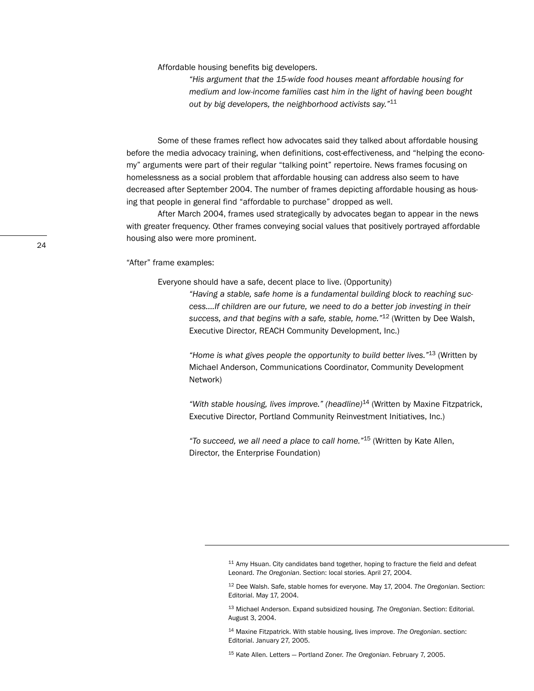Affordable housing benefits big developers.

*"His argument that the 15-wide food houses meant affordable housing for medium and low-income families cast him in the light of having been bought out by big developers, the neighborhood activists say."*<sup>11</sup>

Some of these frames reflect how advocates said they talked about affordable housing before the media advocacy training, when definitions, cost-effectiveness, and "helping the economy" arguments were part of their regular "talking point" repertoire. News frames focusing on homelessness as a social problem that affordable housing can address also seem to have decreased after September 2004. The number of frames depicting affordable housing as housing that people in general find "affordable to purchase" dropped as well.

After March 2004, frames used strategically by advocates began to appear in the news with greater frequency. Other frames conveying social values that positively portrayed affordable housing also were more prominent.

"After" frame examples:

Everyone should have a safe, decent place to live. (Opportunity)

*"Having a stable, safe home is a fundamental building block to reaching success….If children are our future, we need to do a better job investing in their success, and that begins with a safe, stable, home."*<sup>12</sup> (Written by Dee Walsh, Executive Director, REACH Community Development, Inc.)

*"Home is what gives people the opportunity to build better lives."*<sup>13</sup> (Written by Michael Anderson, Communications Coordinator, Community Development Network)

*"With stable housing, lives improve." (headline)*<sup>14</sup> (Written by Maxine Fitzpatrick, Executive Director, Portland Community Reinvestment Initiatives, Inc.)

*"To succeed, we all need a place to call home."*<sup>15</sup> (Written by Kate Allen, Director, the Enterprise Foundation)

<sup>15</sup> Kate Allen. Letters — Portland Zoner. *The Oregonian*. February 7, 2005.

 $11$  Amy Hsuan. City candidates band together, hoping to fracture the field and defeat Leonard. *The Oregonian*. Section: local stories. April 27, 2004.

<sup>12</sup> Dee Walsh. Safe, stable homes for everyone. May 17, 2004. *The Oregonian*. Section: Editorial. May 17, 2004.

<sup>13</sup> Michael Anderson. Expand subsidized housing. *The Oregonian*. Section: Editorial. August 3, 2004.

<sup>14</sup> Maxine Fitzpatrick. With stable housing, lives improve. *The Oregonian*. section: Editorial. January 27, 2005.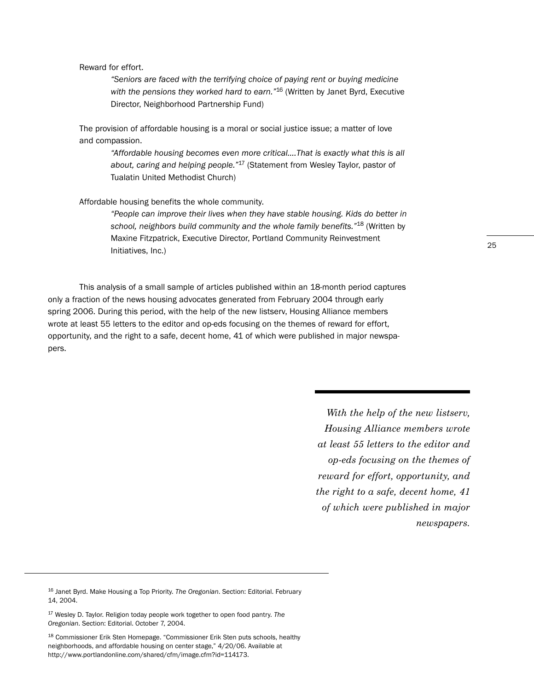#### Reward for effort.

*"Seniors are faced with the terrifying choice of paying rent or buying medicine with the pensions they worked hard to earn."*<sup>16</sup> (Written by Janet Byrd, Executive Director, Neighborhood Partnership Fund)

The provision of affordable housing is a moral or social justice issue; a matter of love and compassion.

> *"Affordable housing becomes even more critical….That is exactly what this is all about, caring and helping people."*<sup>17</sup> (Statement from Wesley Taylor, pastor of Tualatin United Methodist Church)

Affordable housing benefits the whole community.

*"People can improve their lives when they have stable housing. Kids do better in school, neighbors build community and the whole family benefits."*<sup>18</sup> (Written by Maxine Fitzpatrick, Executive Director, Portland Community Reinvestment Initiatives, Inc.)

This analysis of a small sample of articles published within an 18-month period captures only a fraction of the news housing advocates generated from February 2004 through early spring 2006. During this period, with the help of the new listserv, Housing Alliance members wrote at least 55 letters to the editor and op-eds focusing on the themes of reward for effort, opportunity, and the right to a safe, decent home, 41 of which were published in major newspapers.

> *With the help of the new listserv, Housing Alliance members wrote at least 55 letters to the editor and op-eds focusing on the themes of reward for effort, opportunity, and the right to a safe, decent home, 41 of which were published in major newspapers.*

<sup>16</sup> Janet Byrd. Make Housing a Top Priority. *The Oregonian*. Section: Editorial. February 14, 2004.

<sup>17</sup> Wesley D. Taylor. Religion today people work together to open food pantry. *The Oregonian*. Section: Editorial. October 7, 2004.

<sup>18</sup> Commissioner Erik Sten Homepage. "Commissioner Erik Sten puts schools, healthy neighborhoods, and affordable housing on center stage," 4/20/06. Available at http://www.portlandonline.com/shared/cfm/image.cfm?id=114173.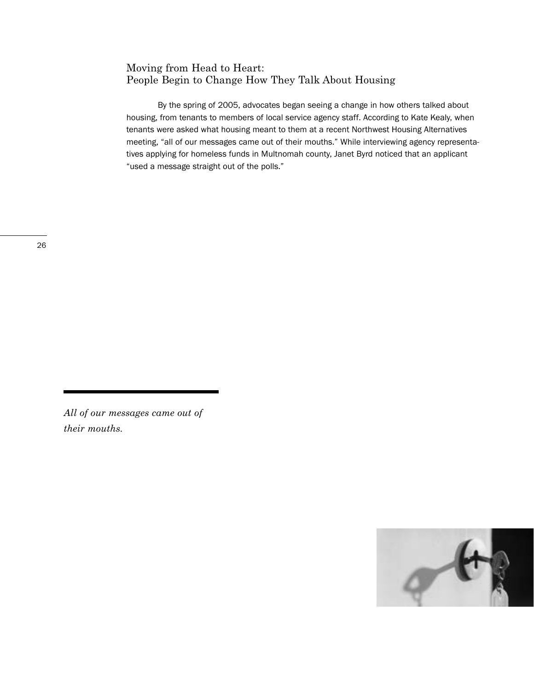# Moving from Head to Heart: People Begin to Change How They Talk About Housing

By the spring of 2005, advocates began seeing a change in how others talked about housing, from tenants to members of local service agency staff. According to Kate Kealy, when tenants were asked what housing meant to them at a recent Northwest Housing Alternatives meeting, "all of our messages came out of their mouths." While interviewing agency representatives applying for homeless funds in Multnomah county, Janet Byrd noticed that an applicant "used a message straight out of the polls."



*All of our messages came out of their mouths.*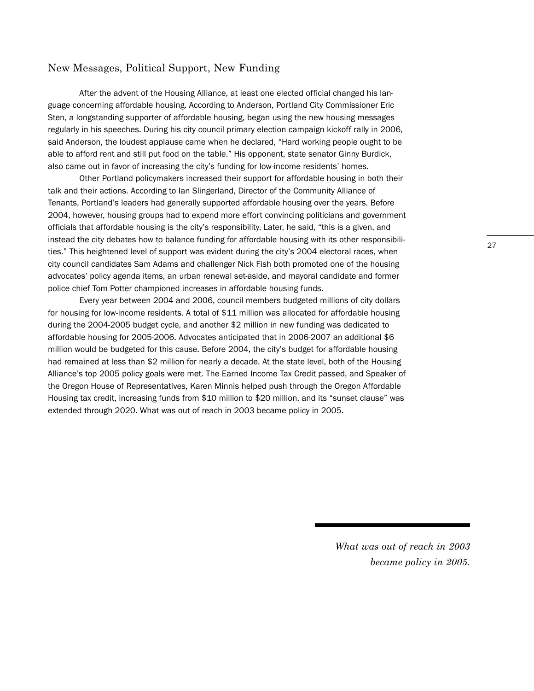## New Messages, Political Support, New Funding

After the advent of the Housing Alliance, at least one elected official changed his language concerning affordable housing. According to Anderson, Portland City Commissioner Eric Sten, a longstanding supporter of affordable housing, began using the new housing messages regularly in his speeches. During his city council primary election campaign kickoff rally in 2006, said Anderson, the loudest applause came when he declared, "Hard working people ought to be able to afford rent and still put food on the table." His opponent, state senator Ginny Burdick, also came out in favor of increasing the city's funding for low-income residents' homes.

Other Portland policymakers increased their support for affordable housing in both their talk and their actions. According to Ian Slingerland, Director of the Community Alliance of Tenants, Portland's leaders had generally supported affordable housing over the years. Before 2004, however, housing groups had to expend more effort convincing politicians and government officials that affordable housing is the city's responsibility. Later, he said, "this is a given, and instead the city debates how to balance funding for affordable housing with its other responsibilities." This heightened level of support was evident during the city's 2004 electoral races, when city council candidates Sam Adams and challenger Nick Fish both promoted one of the housing advocates' policy agenda items, an urban renewal set-aside, and mayoral candidate and former police chief Tom Potter championed increases in affordable housing funds.

Every year between 2004 and 2006, council members budgeted millions of city dollars for housing for low-income residents. A total of \$11 million was allocated for affordable housing during the 2004-2005 budget cycle, and another \$2 million in new funding was dedicated to affordable housing for 2005-2006. Advocates anticipated that in 2006-2007 an additional \$6 million would be budgeted for this cause. Before 2004, the city's budget for affordable housing had remained at less than \$2 million for nearly a decade. At the state level, both of the Housing Alliance's top 2005 policy goals were met. The Earned Income Tax Credit passed, and Speaker of the Oregon House of Representatives, Karen Minnis helped push through the Oregon Affordable Housing tax credit, increasing funds from \$10 million to \$20 million, and its "sunset clause" was extended through 2020. What was out of reach in 2003 became policy in 2005.

27

*What was out of reach in 2003 became policy in 2005.*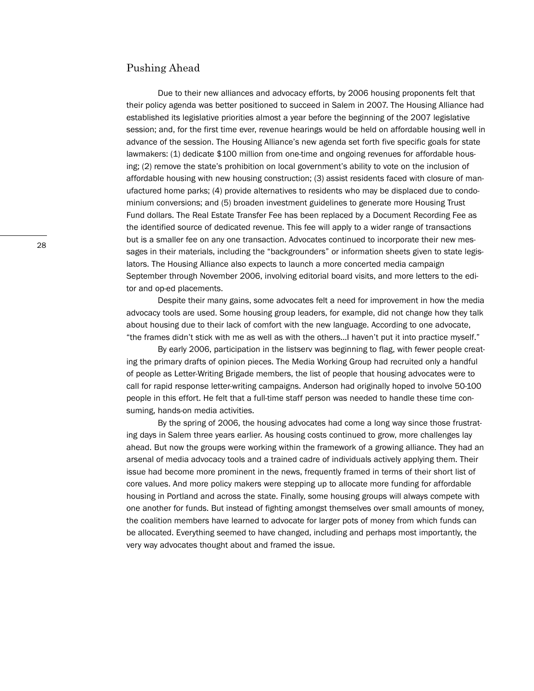#### Pushing Ahead

Due to their new alliances and advocacy efforts, by 2006 housing proponents felt that their policy agenda was better positioned to succeed in Salem in 2007. The Housing Alliance had established its legislative priorities almost a year before the beginning of the 2007 legislative session; and, for the first time ever, revenue hearings would be held on affordable housing well in advance of the session. The Housing Alliance's new agenda set forth five specific goals for state lawmakers: (1) dedicate \$100 million from one-time and ongoing revenues for affordable housing; (2) remove the state's prohibition on local government's ability to vote on the inclusion of affordable housing with new housing construction; (3) assist residents faced with closure of manufactured home parks; (4) provide alternatives to residents who may be displaced due to condominium conversions; and (5) broaden investment guidelines to generate more Housing Trust Fund dollars. The Real Estate Transfer Fee has been replaced by a Document Recording Fee as the identified source of dedicated revenue. This fee will apply to a wider range of transactions but is a smaller fee on any one transaction. Advocates continued to incorporate their new messages in their materials, including the "backgrounders" or information sheets given to state legislators. The Housing Alliance also expects to launch a more concerted media campaign September through November 2006, involving editorial board visits, and more letters to the editor and op-ed placements.

Despite their many gains, some advocates felt a need for improvement in how the media advocacy tools are used. Some housing group leaders, for example, did not change how they talk about housing due to their lack of comfort with the new language. According to one advocate, "the frames didn't stick with me as well as with the others…I haven't put it into practice myself."

By early 2006, participation in the listserv was beginning to flag, with fewer people creating the primary drafts of opinion pieces. The Media Working Group had recruited only a handful of people as Letter-Writing Brigade members, the list of people that housing advocates were to call for rapid response letter-writing campaigns. Anderson had originally hoped to involve 50-100 people in this effort. He felt that a full-time staff person was needed to handle these time consuming, hands-on media activities.

By the spring of 2006, the housing advocates had come a long way since those frustrating days in Salem three years earlier. As housing costs continued to grow, more challenges lay ahead. But now the groups were working within the framework of a growing alliance. They had an arsenal of media advocacy tools and a trained cadre of individuals actively applying them. Their issue had become more prominent in the news, frequently framed in terms of their short list of core values. And more policy makers were stepping up to allocate more funding for affordable housing in Portland and across the state. Finally, some housing groups will always compete with one another for funds. But instead of fighting amongst themselves over small amounts of money, the coalition members have learned to advocate for larger pots of money from which funds can be allocated. Everything seemed to have changed, including and perhaps most importantly, the very way advocates thought about and framed the issue.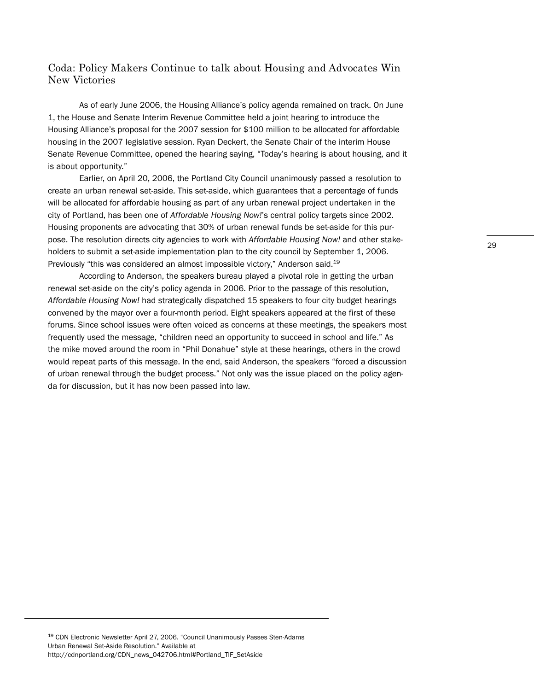# Coda: Policy Makers Continue to talk about Housing and Advocates Win New Victories

As of early June 2006, the Housing Alliance's policy agenda remained on track. On June 1, the House and Senate Interim Revenue Committee held a joint hearing to introduce the Housing Alliance's proposal for the 2007 session for \$100 million to be allocated for affordable housing in the 2007 legislative session. Ryan Deckert, the Senate Chair of the interim House Senate Revenue Committee, opened the hearing saying, "Today's hearing is about housing, and it is about opportunity."

Earlier, on April 20, 2006, the Portland City Council unanimously passed a resolution to create an urban renewal set-aside. This set-aside, which guarantees that a percentage of funds will be allocated for affordable housing as part of any urban renewal project undertaken in the city of Portland, has been one of *Affordable Housing Now!*'s central policy targets since 2002. Housing proponents are advocating that 30% of urban renewal funds be set-aside for this purpose. The resolution directs city agencies to work with *Affordable Housing Now!* and other stakeholders to submit a set-aside implementation plan to the city council by September 1, 2006. Previously "this was considered an almost impossible victory," Anderson said.<sup>19</sup>

According to Anderson, the speakers bureau played a pivotal role in getting the urban renewal set-aside on the city's policy agenda in 2006. Prior to the passage of this resolution, *Affordable Housing Now!* had strategically dispatched 15 speakers to four city budget hearings convened by the mayor over a four-month period. Eight speakers appeared at the first of these forums. Since school issues were often voiced as concerns at these meetings, the speakers most frequently used the message, "children need an opportunity to succeed in school and life." As the mike moved around the room in "Phil Donahue" style at these hearings, others in the crowd would repeat parts of this message. In the end, said Anderson, the speakers "forced a discussion of urban renewal through the budget process." Not only was the issue placed on the policy agenda for discussion, but it has now been passed into law.

<sup>19</sup> CDN Electronic Newsletter April 27, 2006. "Council Unanimously Passes Sten-Adams Urban Renewal Set-Aside Resolution." Available at http://cdnportland.org/CDN\_news\_042706.html#Portland\_TIF\_SetAside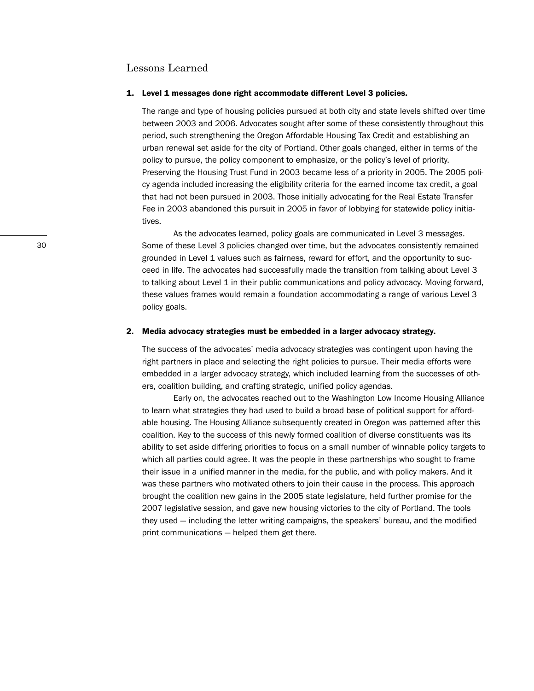#### Lessons Learned

#### **1. Level 1 messages done right accommodate different Level 3 policies.**

The range and type of housing policies pursued at both city and state levels shifted over time between 2003 and 2006. Advocates sought after some of these consistently throughout this period, such strengthening the Oregon Affordable Housing Tax Credit and establishing an urban renewal set aside for the city of Portland. Other goals changed, either in terms of the policy to pursue, the policy component to emphasize, or the policy's level of priority. Preserving the Housing Trust Fund in 2003 became less of a priority in 2005. The 2005 policy agenda included increasing the eligibility criteria for the earned income tax credit, a goal that had not been pursued in 2003. Those initially advocating for the Real Estate Transfer Fee in 2003 abandoned this pursuit in 2005 in favor of lobbying for statewide policy initiatives.

As the advocates learned, policy goals are communicated in Level 3 messages. Some of these Level 3 policies changed over time, but the advocates consistently remained grounded in Level 1 values such as fairness, reward for effort, and the opportunity to succeed in life. The advocates had successfully made the transition from talking about Level 3 to talking about Level 1 in their public communications and policy advocacy. Moving forward, these values frames would remain a foundation accommodating a range of various Level 3 policy goals.

#### **2. Media advocacy strategies must be embedded in a larger advocacy strategy.**

The success of the advocates' media advocacy strategies was contingent upon having the right partners in place and selecting the right policies to pursue. Their media efforts were embedded in a larger advocacy strategy, which included learning from the successes of others, coalition building, and crafting strategic, unified policy agendas.

Early on, the advocates reached out to the Washington Low Income Housing Alliance to learn what strategies they had used to build a broad base of political support for affordable housing. The Housing Alliance subsequently created in Oregon was patterned after this coalition. Key to the success of this newly formed coalition of diverse constituents was its ability to set aside differing priorities to focus on a small number of winnable policy targets to which all parties could agree. It was the people in these partnerships who sought to frame their issue in a unified manner in the media, for the public, and with policy makers. And it was these partners who motivated others to join their cause in the process. This approach brought the coalition new gains in the 2005 state legislature, held further promise for the 2007 legislative session, and gave new housing victories to the city of Portland. The tools they used — including the letter writing campaigns, the speakers' bureau, and the modified print communications — helped them get there.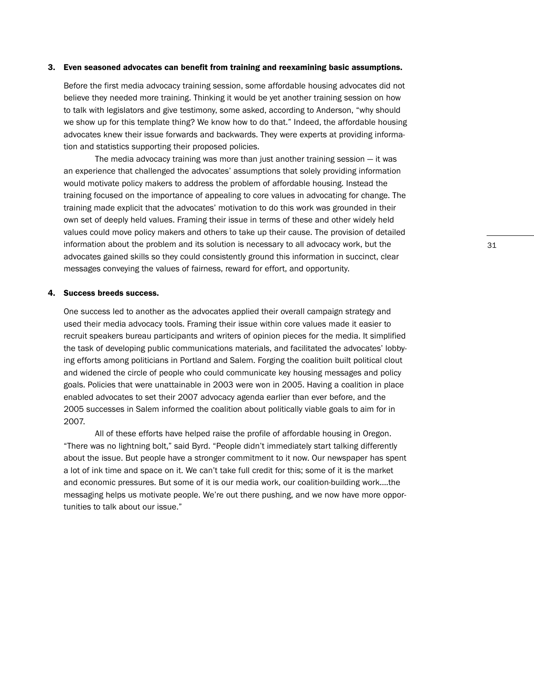#### **3. Even seasoned advocates can benefit from training and reexamining basic assumptions.**

Before the first media advocacy training session, some affordable housing advocates did not believe they needed more training. Thinking it would be yet another training session on how to talk with legislators and give testimony, some asked, according to Anderson, "why should we show up for this template thing? We know how to do that." Indeed, the affordable housing advocates knew their issue forwards and backwards. They were experts at providing information and statistics supporting their proposed policies.

The media advocacy training was more than just another training session  $-$  it was an experience that challenged the advocates' assumptions that solely providing information would motivate policy makers to address the problem of affordable housing. Instead the training focused on the importance of appealing to core values in advocating for change. The training made explicit that the advocates' motivation to do this work was grounded in their own set of deeply held values. Framing their issue in terms of these and other widely held values could move policy makers and others to take up their cause. The provision of detailed information about the problem and its solution is necessary to all advocacy work, but the advocates gained skills so they could consistently ground this information in succinct, clear messages conveying the values of fairness, reward for effort, and opportunity.

#### **4. Success breeds success.**

One success led to another as the advocates applied their overall campaign strategy and used their media advocacy tools. Framing their issue within core values made it easier to recruit speakers bureau participants and writers of opinion pieces for the media. It simplified the task of developing public communications materials, and facilitated the advocates' lobbying efforts among politicians in Portland and Salem. Forging the coalition built political clout and widened the circle of people who could communicate key housing messages and policy goals. Policies that were unattainable in 2003 were won in 2005. Having a coalition in place enabled advocates to set their 2007 advocacy agenda earlier than ever before, and the 2005 successes in Salem informed the coalition about politically viable goals to aim for in 2007.

All of these efforts have helped raise the profile of affordable housing in Oregon. "There was no lightning bolt," said Byrd. "People didn't immediately start talking differently about the issue. But people have a stronger commitment to it now. Our newspaper has spent a lot of ink time and space on it. We can't take full credit for this; some of it is the market and economic pressures. But some of it is our media work, our coalition-building work….the messaging helps us motivate people. We're out there pushing, and we now have more opportunities to talk about our issue."